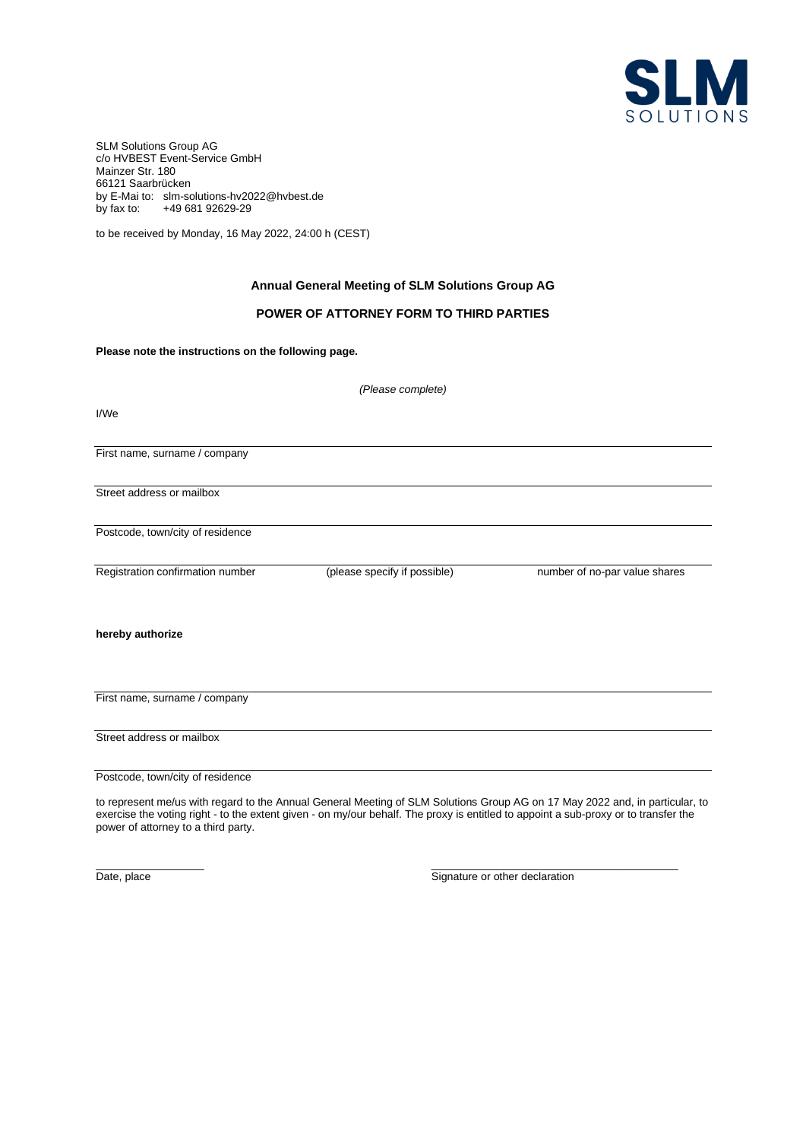

SLM Solutions Group AG c/o HVBEST Event-Service GmbH Mainzer Str. 180 66121 Saarbrücken by E-Mai to: slm-solutions-hv2022@hvbest.de by fax to: +49 681 92629-29

to be received by Monday, 16 May 2022, 24:00 h (CEST)

# **Annual General Meeting of SLM Solutions Group AG**

# **POWER OF ATTORNEY FORM TO THIRD PARTIES**

**Please note the instructions on the following page.**

|                                  | (Please complete)            |                               |
|----------------------------------|------------------------------|-------------------------------|
| I/We                             |                              |                               |
| First name, surname / company    |                              |                               |
| Street address or mailbox        |                              |                               |
|                                  |                              |                               |
| Postcode, town/city of residence |                              |                               |
| Registration confirmation number | (please specify if possible) | number of no-par value shares |
| hereby authorize                 |                              |                               |
|                                  |                              |                               |
| First name, surname / company    |                              |                               |
| Street address or mailbox        |                              |                               |
| Postcode, town/city of residence |                              |                               |

to represent me/us with regard to the Annual General Meeting of SLM Solutions Group AG on 17 May 2022 and, in particular, to exercise the voting right - to the extent given - on my/our behalf. The proxy is entitled to appoint a sub-proxy or to transfer the power of attorney to a third party.

 $\frac{1}{2}$  ,  $\frac{1}{2}$  ,  $\frac{1}{2}$  ,  $\frac{1}{2}$  ,  $\frac{1}{2}$  ,  $\frac{1}{2}$  ,  $\frac{1}{2}$  ,  $\frac{1}{2}$  ,  $\frac{1}{2}$  ,  $\frac{1}{2}$  ,  $\frac{1}{2}$  ,  $\frac{1}{2}$  ,  $\frac{1}{2}$  ,  $\frac{1}{2}$  ,  $\frac{1}{2}$  ,  $\frac{1}{2}$  ,  $\frac{1}{2}$  ,  $\frac{1}{2}$  ,  $\frac{1$ 

Date, place Signature or other declaration